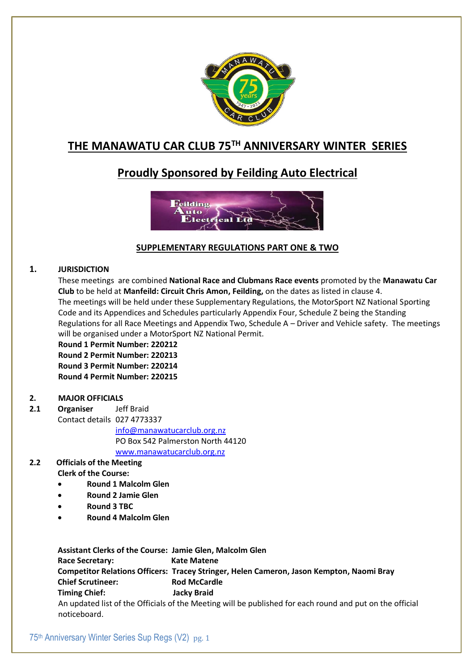

# **THE MANAWATU CAR CLUB 75TH ANNIVERSARY WINTER SERIES**

# **Proudly Sponsored by Feilding Auto Electrical**



# **SUPPLEMENTARY REGULATIONS PART ONE & TWO**

# **1. JURISDICTION**

These meetings are combined **National Race and Clubmans Race events** promoted by the **Manawatu Car Club** to be held at **Manfeild: Circuit Chris Amon, Feilding,** on the dates as listed in clause 4. The meetings will be held under these Supplementary Regulations, the MotorSport NZ National Sporting Code and its Appendices and Schedules particularly Appendix Four, Schedule Z being the Standing Regulations for all Race Meetings and Appendix Two, Schedule A – Driver and Vehicle safety. The meetings will be organised under a MotorSport NZ National Permit.

**Round 1 Permit Number: 220212 Round 2 Permit Number: 220213 Round 3 Permit Number: 220214 Round 4 Permit Number: 220215**

## **2. MAJOR OFFICIALS**

**2.1 Organiser** Jeff Braid Contact details 027 4773337

> [info@manawatucarclub.org.nz](mailto:info@manawatucarclub.org.nz) PO Box 542 Palmerston North 44120

[www.manawatucarclub.org.nz](http://www.manawatucarclub.org.nz/)

# **2.2 Officials of the Meeting**

# **Clerk of the Course:**

- **Round 1 Malcolm Glen**
- **Round 2 Jamie Glen**
- **Round 3 TBC**
- **Round 4 Malcolm Glen**

**Assistant Clerks of the Course: Jamie Glen, Malcolm Glen** Race Secretary: Kate Matene **Competitor Relations Officers: Tracey Stringer, Helen Cameron, Jason Kempton, Naomi Bray Chief Scrutineer: Rod McCardle Timing Chief: Jacky Braid** An updated list of the Officials of the Meeting will be published for each round and put on the official noticeboard.

75th Anniversary Winter Series Sup Regs (V2) pg. 1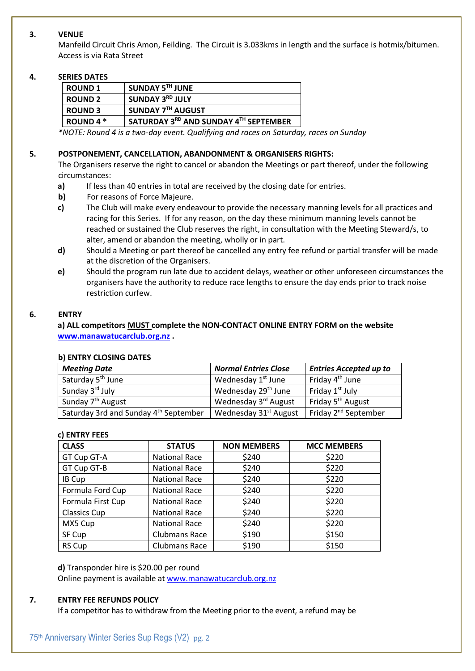### **3. VENUE**

Manfeild Circuit Chris Amon, Feilding. The Circuit is 3.033kms in length and the surface is hotmix/bitumen. Access is via Rata Street

### **4. SERIES DATES**

| <b>ROUND 1</b>   | SUNDAY 5TH JUNE                       |
|------------------|---------------------------------------|
| <b>ROUND 2</b>   | SUNDAY 3RD JULY                       |
| <b>ROUND 3</b>   | SUNDAY 7TH AUGUST                     |
| <b>ROUND 4 *</b> | SATURDAY 3RD AND SUNDAY 4TH SEPTEMBER |

*\*NOTE: Round 4 is a two-day event. Qualifying and races on Saturday, races on Sunday*

### **5. POSTPONEMENT, CANCELLATION, ABANDONMENT & ORGANISERS RIGHTS:**

The Organisers reserve the right to cancel or abandon the Meetings or part thereof, under the following circumstances:

- **a)** If less than 40 entries in total are received by the closing date for entries.
- **b)** For reasons of Force Majeure.
- **c)** The Club will make every endeavour to provide the necessary manning levels for all practices and racing for this Series. If for any reason, on the day these minimum manning levels cannot be reached or sustained the Club reserves the right, in consultation with the Meeting Steward/s, to alter, amend or abandon the meeting, wholly or in part.
- **d)** Should a Meeting or part thereof be cancelled any entry fee refund or partial transfer will be made at the discretion of the Organisers.
- **e)** Should the program run late due to accident delays, weather or other unforeseen circumstances the organisers have the authority to reduce race lengths to ensure the day ends prior to track noise restriction curfew.

### **6. ENTRY**

**a) ALL competitors MUST complete the NON-CONTACT ONLINE ENTRY FORM on the website [www.manawatucarclub.org.nz](http://www.manawatucarclub.org.nz/) .**

### **b) ENTRY CLOSING DATES**

| <b>Meeting Date</b>                   | <b>Normal Entries Close</b>       | <b>Entries Accepted up to</b>    |
|---------------------------------------|-----------------------------------|----------------------------------|
| Saturday 5 <sup>th</sup> June         | Wednesday 1 <sup>st</sup> June    | Friday 4 <sup>th</sup> June      |
| Sunday 3rd July                       | Wednesday 29 <sup>th</sup> June   | Friday 1 <sup>st</sup> July      |
| Sunday 7 <sup>th</sup> August         | Wednesday 3rd August              | Friday 5 <sup>th</sup> August    |
| Saturday 3rd and Sunday 4th September | Wednesday 31 <sup>st</sup> August | Friday 2 <sup>nd</sup> September |

### **c) ENTRY FEES**

| <b>CLASS</b>        | <b>STATUS</b>        | <b>NON MEMBERS</b> | <b>MCC MEMBERS</b> |
|---------------------|----------------------|--------------------|--------------------|
| GT Cup GT-A         | <b>National Race</b> | \$240              | \$220              |
| GT Cup GT-B         | <b>National Race</b> | \$240              | \$220              |
| IB Cup              | <b>National Race</b> | \$240              | \$220              |
| Formula Ford Cup    | <b>National Race</b> | \$240              | \$220              |
| Formula First Cup   | <b>National Race</b> | \$240              | \$220              |
| <b>Classics Cup</b> | <b>National Race</b> | \$240              | \$220              |
| MX5 Cup             | <b>National Race</b> | \$240              | \$220              |
| SF Cup              | Clubmans Race        | \$190              | \$150              |
| RS Cup              | Clubmans Race        | \$190              | \$150              |

### **d)** Transponder hire is \$20.00 per round

Online payment is available a[t www.manawatucarclub.org.nz](http://www.manawatucarclub.org.nz/)

### **7. ENTRY FEE REFUNDS POLICY**

If a competitor has to withdraw from the Meeting prior to the event, a refund may be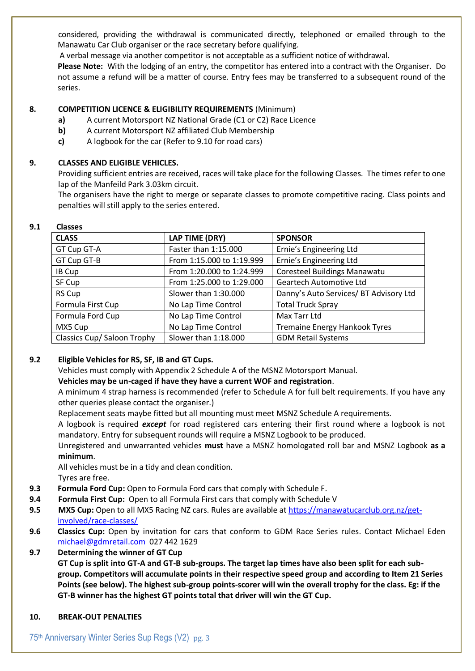considered, providing the withdrawal is communicated directly, telephoned or emailed through to the Manawatu Car Club organiser or the race secretary before qualifying.

A verbal message via another competitor is not acceptable as a sufficient notice of withdrawal.

**Please Note:** With the lodging of an entry, the competitor has entered into a contract with the Organiser. Do not assume a refund will be a matter of course. Entry fees may be transferred to a subsequent round of the series.

## **8. COMPETITION LICENCE & ELIGIBILITY REQUIREMENTS** (Minimum)

- **a)** A current Motorsport NZ National Grade (C1 or C2) Race Licence
- **b)** A current Motorsport NZ affiliated Club Membership
- **c)** A logbook for the car (Refer to 9.10 for road cars)

# **9. CLASSES AND ELIGIBLE VEHICLES.**

Providing sufficient entries are received, races will take place for the following Classes. The times refer to one lap of the Manfeild Park 3.03km circuit.

The organisers have the right to merge or separate classes to promote competitive racing. Class points and penalties will still apply to the series entered.

| -------                            |                           |                                        |  |
|------------------------------------|---------------------------|----------------------------------------|--|
| <b>CLASS</b>                       | LAP TIME (DRY)            | <b>SPONSOR</b>                         |  |
| GT Cup GT-A                        | Faster than 1:15.000      | Ernie's Engineering Ltd                |  |
| GT Cup GT-B                        | From 1:15.000 to 1:19.999 | Ernie's Engineering Ltd                |  |
| IB Cup                             | From 1:20.000 to 1:24.999 | <b>Coresteel Buildings Manawatu</b>    |  |
| SF Cup                             | From 1:25.000 to 1:29.000 | <b>Geartech Automotive Ltd</b>         |  |
| RS Cup                             | Slower than 1:30.000      | Danny's Auto Services/ BT Advisory Ltd |  |
| Formula First Cup                  | No Lap Time Control       | <b>Total Truck Spray</b>               |  |
| Formula Ford Cup                   | No Lap Time Control       | Max Tarr Ltd                           |  |
| MX5 Cup                            | No Lap Time Control       | <b>Tremaine Energy Hankook Tyres</b>   |  |
| <b>Classics Cup/ Saloon Trophy</b> | Slower than 1:18.000      | <b>GDM Retail Systems</b>              |  |

## **9.1 Classes**

## **9.2 Eligible Vehicles for RS, SF, IB and GT Cups.**

Vehicles must comply with Appendix 2 Schedule A of the MSNZ Motorsport Manual.

## **Vehicles may be un-caged if have they have a current WOF and registration**.

A minimum 4 strap harness is recommended (refer to Schedule A for full belt requirements. If you have any other queries please contact the organiser.)

Replacement seats maybe fitted but all mounting must meet MSNZ Schedule A requirements.

A logbook is required *except* for road registered cars entering their first round where a logbook is not mandatory. Entry for subsequent rounds will require a MSNZ Logbook to be produced.

Unregistered and unwarranted vehicles **must** have a MSNZ homologated roll bar and MSNZ Logbook **as a minimum**.

All vehicles must be in a tidy and clean condition. Tyres are free.

- **9.3 Formula Ford Cup:** Open to Formula Ford cars that comply with Schedule F.
- **9.4 Formula First Cup:** Open to all Formula First cars that comply with Schedule V
- **9.5 MX5 Cup:** Open to all MX5 Racing NZ cars. Rules are available at [https://manawatucarclub.org.nz/get](https://manawatucarclub.org.nz/get-involved/race-classes/)[involved/race-classes/](https://manawatucarclub.org.nz/get-involved/race-classes/)
- **9.6 Classics Cup:** Open by invitation for cars that conform to GDM Race Series rules. Contact Michael Eden [michael@gdmretail.com](mailto:michael@gdmretail.com) 027 442 1629
- **9.7 Determining the winner of GT Cup**

**GT Cup is split into GT-A and GT-B sub-groups. The target lap times have also been split for each subgroup. Competitors will accumulate points in their respective speed group and according to Item 21 Series Points (see below). The highest sub-group points-scorer will win the overall trophy for the class. Eg: if the GT-B winner has the highest GT points total that driver will win the GT Cup.**

## **10. BREAK-OUT PENALTIES**

75th Anniversary Winter Series Sup Regs (V2) pg. 3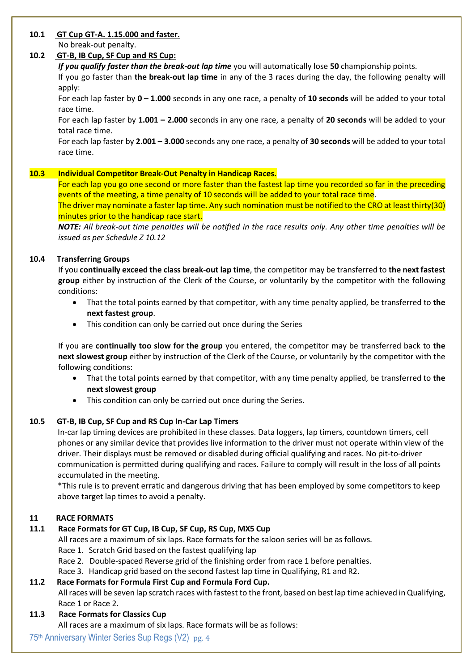### **10.1 GT Cup GT-A. 1.15.000 and faster.**

No break-out penalty.

# **10.2 GT-B, IB Cup, SF Cup and RS Cup:**

*If you qualify faster than the break-out lap time* you will automatically lose **50** championship points.

If you go faster than **the break-out lap time** in any of the 3 races during the day, the following penalty will apply:

For each lap faster by **0 – 1.000** seconds in any one race, a penalty of **10 seconds** will be added to your total race time.

For each lap faster by **1.001 – 2.000** seconds in any one race, a penalty of **20 seconds** will be added to your total race time.

For each lap faster by **2.001 – 3.000** seconds any one race, a penalty of **30 seconds** will be added to your total race time.

# **10.3 Individual Competitor Break-Out Penalty in Handicap Races.**

For each lap you go one second or more faster than the fastest lap time you recorded so far in the preceding events of the meeting, a time penalty of 10 seconds will be added to your total race time.

The driver may nominate a faster lap time. Any such nomination must be notified to the CRO at least thirty(30) minutes prior to the handicap race start.

*NOTE: All break-out time penalties will be notified in the race results only. Any other time penalties will be issued as per Schedule Z 10.12*

# **10.4 Transferring Groups**

If you **continually exceed the class break-out lap time**, the competitor may be transferred to **the next fastest group** either by instruction of the Clerk of the Course, or voluntarily by the competitor with the following conditions:

- That the total points earned by that competitor, with any time penalty applied, be transferred to **the next fastest group**.
- This condition can only be carried out once during the Series

If you are **continually too slow for the group** you entered, the competitor may be transferred back to **the next slowest group** either by instruction of the Clerk of the Course, or voluntarily by the competitor with the following conditions:

- That the total points earned by that competitor, with any time penalty applied, be transferred to **the next slowest group**
- This condition can only be carried out once during the Series.

# **10.5 GT-B, IB Cup, SF Cup and RS Cup In-Car Lap Timers**

In-car lap timing devices are prohibited in these classes. Data loggers, lap timers, countdown timers, cell phones or any similar device that provides live information to the driver must not operate within view of the driver. Their displays must be removed or disabled during official qualifying and races. No pit-to-driver communication is permitted during qualifying and races. Failure to comply will result in the loss of all points accumulated in the meeting.

\*This rule is to prevent erratic and dangerous driving that has been employed by some competitors to keep above target lap times to avoid a penalty.

# **11 RACE FORMATS**

# **11.1 Race Formats for GT Cup, IB Cup, SF Cup, RS Cup, MX5 Cup**

All races are a maximum of six laps. Race formats for the saloon series will be as follows.

- Race 1. Scratch Grid based on the fastest qualifying lap
- Race 2. Double-spaced Reverse grid of the finishing order from race 1 before penalties.
- Race 3. Handicap grid based on the second fastest lap time in Qualifying, R1 and R2.

## **11.2 Race Formats for Formula First Cup and Formula Ford Cup.**

All races will be seven lap scratch races with fastest to the front, based on best lap time achieved in Qualifying, Race 1 or Race 2.

**11.3 Race Formats for Classics Cup**

All races are a maximum of six laps. Race formats will be as follows:

# 75th Anniversary Winter Series Sup Regs (V2) pg. 4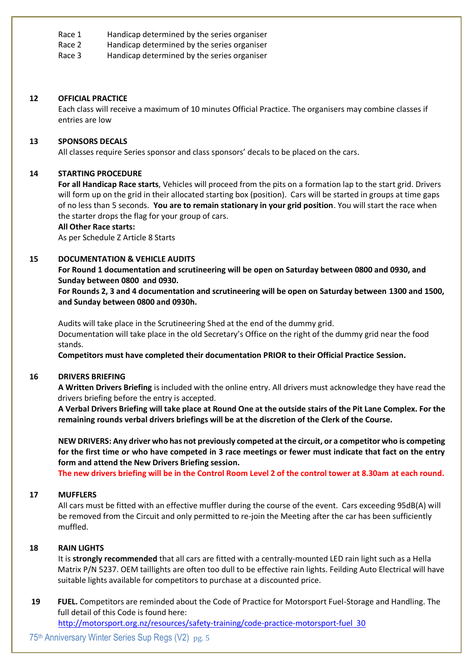Race 1 Handicap determined by the series organiser

Race 2 Handicap determined by the series organiser

Race 3 Handicap determined by the series organiser

### **12 OFFICIAL PRACTICE**

Each class will receive a maximum of 10 minutes Official Practice. The organisers may combine classes if entries are low

#### **13 SPONSORS DECALS**

All classes require Series sponsor and class sponsors' decals to be placed on the cars.

### **14 STARTING PROCEDURE**

**For all Handicap Race starts**, Vehicles will proceed from the pits on a formation lap to the start grid. Drivers will form up on the grid in their allocated starting box (position). Cars will be started in groups at time gaps of no less than 5 seconds. **You are to remain stationary in your grid position**. You will start the race when the starter drops the flag for your group of cars.

#### **All Other Race starts:**

As per Schedule Z Article 8 Starts

### **15 DOCUMENTATION & VEHICLE AUDITS**

**For Round 1 documentation and scrutineering will be open on Saturday between 0800 and 0930, and Sunday between 0800 and 0930.** 

**For Rounds 2, 3 and 4 documentation and scrutineering will be open on Saturday between 1300 and 1500, and Sunday between 0800 and 0930h.** 

Audits will take place in the Scrutineering Shed at the end of the dummy grid. Documentation will take place in the old Secretary's Office on the right of the dummy grid near the food stands.

**Competitors must have completed their documentation PRIOR to their Official Practice Session.**

### **16 DRIVERS BRIEFING**

**A Written Drivers Briefing** is included with the online entry. All drivers must acknowledge they have read the drivers briefing before the entry is accepted.

**A Verbal Drivers Briefing will take place at Round One at the outside stairs of the Pit Lane Complex. For the remaining rounds verbal drivers briefings will be at the discretion of the Clerk of the Course.**

**NEW DRIVERS: Any driver who has not previously competed at the circuit, or a competitor who is competing for the first time or who have competed in 3 race meetings or fewer must indicate that fact on the entry form and attend the New Drivers Briefing session.** 

**The new drivers briefing will be in the Control Room Level 2 of the control tower at 8.30am at each round.**

### **17 MUFFLERS**

All cars must be fitted with an effective muffler during the course of the event. Cars exceeding 95dB(A) will be removed from the Circuit and only permitted to re-join the Meeting after the car has been sufficiently muffled.

### **18 RAIN LIGHTS**

It is **strongly recommended** that all cars are fitted with a centrally-mounted LED rain light such as a Hella Matrix P/N 5237. OEM taillights are often too dull to be effective rain lights. Feilding Auto Electrical will have suitable lights available for competitors to purchase at a discounted price.

**19 FUEL.** Competitors are reminded about the Code of Practice for Motorsport Fuel-Storage and Handling. The full detail of this Code is found here:

<http://motorsport.org.nz/resources/safety-training/code-practice-motorsport-fuel>30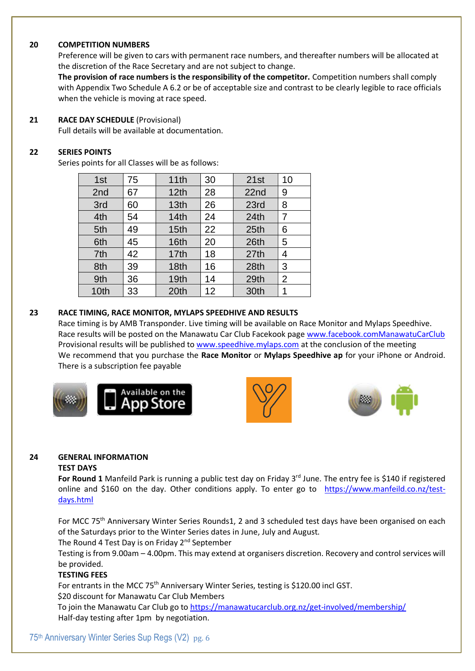### **20 COMPETITION NUMBERS**

Preference will be given to cars with permanent race numbers, and thereafter numbers will be allocated at the discretion of the Race Secretary and are not subject to change.

**The provision of race numbers is the responsibility of the competitor.** Competition numbers shall comply with Appendix Two Schedule A 6.2 or be of acceptable size and contrast to be clearly legible to race officials when the vehicle is moving at race speed.

### **21 RACE DAY SCHEDULE** (Provisional)

Full details will be available at documentation.

## **22 SERIES POINTS**

Series points for all Classes will be as follows:

| 1st             | 75 | 11th             | 30 | 21st             | 10             |
|-----------------|----|------------------|----|------------------|----------------|
| 2 <sub>nd</sub> | 67 | 12th             | 28 | 22nd             | 9              |
| 3rd             | 60 | 13 <sub>th</sub> | 26 | 23rd             | 8              |
| 4th             | 54 | 14th             | 24 | 24th             | $\overline{7}$ |
| 5th             | 49 | 15 <sub>th</sub> | 22 | 25 <sub>th</sub> | 6              |
| 6th             | 45 | 16th             | 20 | 26th             | 5              |
| 7th             | 42 | 17th             | 18 | 27th             | 4              |
| 8th             | 39 | 18 <sub>th</sub> | 16 | 28th             | 3              |
| 9th             | 36 | 19th             | 14 | 29th             | $\overline{2}$ |
| 10th            | 33 | 20th             | 12 | 30th             | 1              |

### **23 RACE TIMING, RACE MONITOR, MYLAPS SPEEDHIVE AND RESULTS**

Race timing is by AMB Transponder. Live timing will be available on Race Monitor and Mylaps Speedhive. Race results will be posted on the Manawatu Car Club Facekook page [www.facebook.comManawatuCarClub](http://www.facebook.commanawatucarclub/) Provisional results will be published t[o www.speedhive.mylaps.com](http://www.speedhive.mylaps.com/) at the conclusion of the meeting We recommend that you purchase the **Race Monitor** or **Mylaps Speedhive ap** for your iPhone or Android. There is a subscription fee payable







## **24 GENERAL INFORMATION**

### **TEST DAYS**

For Round 1 Manfeild Park is running a public test day on Friday 3<sup>rd</sup> June. The entry fee is \$140 if registered online and \$160 on the day. Other conditions apply. To enter go to [https://www.manfeild.co.nz/test](https://www.manfeild.co.nz/test-days.html)[days.html](https://www.manfeild.co.nz/test-days.html)

For MCC 75<sup>th</sup> Anniversary Winter Series Rounds1, 2 and 3 scheduled test days have been organised on each of the Saturdays prior to the Winter Series dates in June, July and August.

The Round 4 Test Day is on Friday 2<sup>nd</sup> September

Testing is from 9.00am – 4.00pm. This may extend at organisers discretion. Recovery and control services will be provided.

## **TESTING FEES**

For entrants in the MCC 75<sup>th</sup> Anniversary Winter Series, testing is \$120.00 incl GST. \$20 discount for Manawatu Car Club Members

To join the Manawatu Car Club go t[o https://manawatucarclub.org.nz/get-involved/membership/](https://manawatucarclub.org.nz/get-involved/membership/) Half-day testing after 1pm by negotiation.